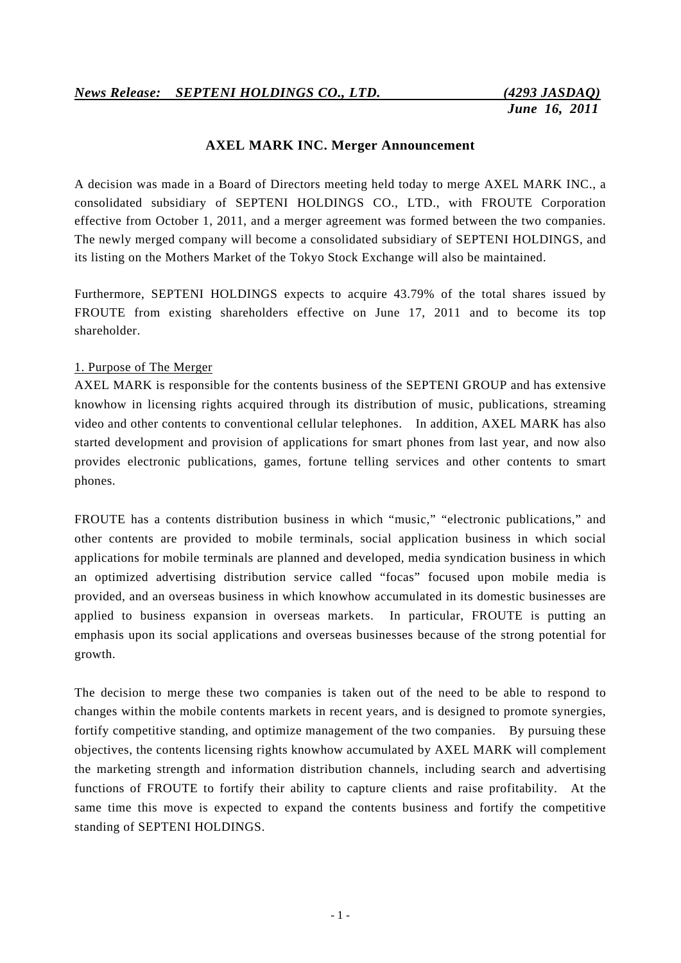### **AXEL MARK INC. Merger Announcement**

A decision was made in a Board of Directors meeting held today to merge AXEL MARK INC., a consolidated subsidiary of SEPTENI HOLDINGS CO., LTD., with FROUTE Corporation effective from October 1, 2011, and a merger agreement was formed between the two companies. The newly merged company will become a consolidated subsidiary of SEPTENI HOLDINGS, and its listing on the Mothers Market of the Tokyo Stock Exchange will also be maintained.

Furthermore, SEPTENI HOLDINGS expects to acquire 43.79% of the total shares issued by FROUTE from existing shareholders effective on June 17, 2011 and to become its top shareholder.

#### 1. Purpose of The Merger

AXEL MARK is responsible for the contents business of the SEPTENI GROUP and has extensive knowhow in licensing rights acquired through its distribution of music, publications, streaming video and other contents to conventional cellular telephones. In addition, AXEL MARK has also started development and provision of applications for smart phones from last year, and now also provides electronic publications, games, fortune telling services and other contents to smart phones.

FROUTE has a contents distribution business in which "music," "electronic publications," and other contents are provided to mobile terminals, social application business in which social applications for mobile terminals are planned and developed, media syndication business in which an optimized advertising distribution service called "focas" focused upon mobile media is provided, and an overseas business in which knowhow accumulated in its domestic businesses are applied to business expansion in overseas markets. In particular, FROUTE is putting an emphasis upon its social applications and overseas businesses because of the strong potential for growth.

The decision to merge these two companies is taken out of the need to be able to respond to changes within the mobile contents markets in recent years, and is designed to promote synergies, fortify competitive standing, and optimize management of the two companies. By pursuing these objectives, the contents licensing rights knowhow accumulated by AXEL MARK will complement the marketing strength and information distribution channels, including search and advertising functions of FROUTE to fortify their ability to capture clients and raise profitability. At the same time this move is expected to expand the contents business and fortify the competitive standing of SEPTENI HOLDINGS.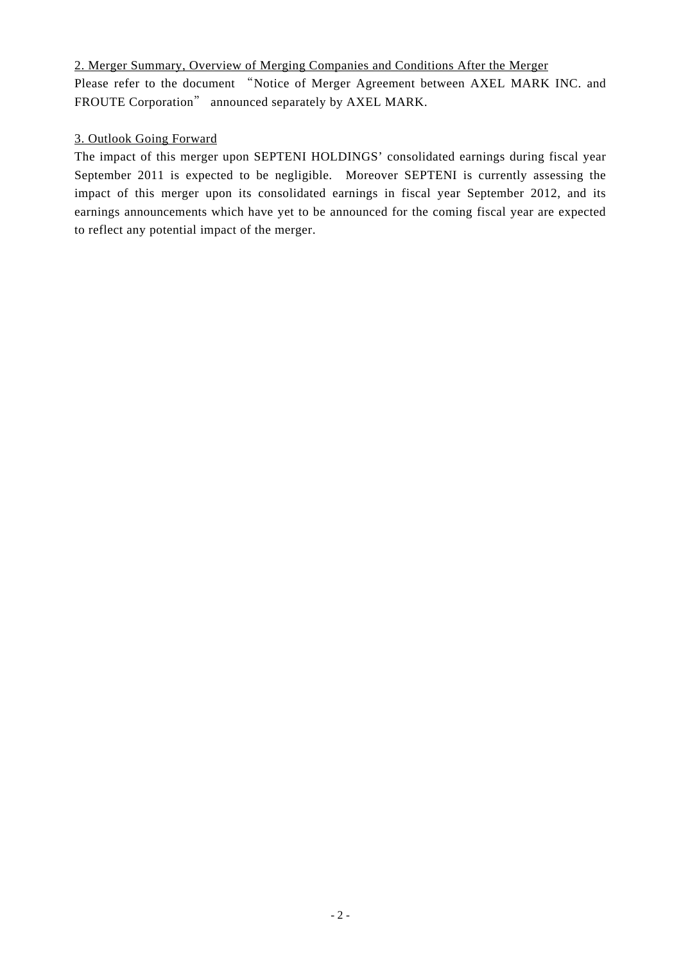2. Merger Summary, Overview of Merging Companies and Conditions After the Merger

Please refer to the document "Notice of Merger Agreement between AXEL MARK INC. and FROUTE Corporation" announced separately by AXEL MARK.

## 3. Outlook Going Forward

The impact of this merger upon SEPTENI HOLDINGS' consolidated earnings during fiscal year September 2011 is expected to be negligible. Moreover SEPTENI is currently assessing the impact of this merger upon its consolidated earnings in fiscal year September 2012, and its earnings announcements which have yet to be announced for the coming fiscal year are expected to reflect any potential impact of the merger.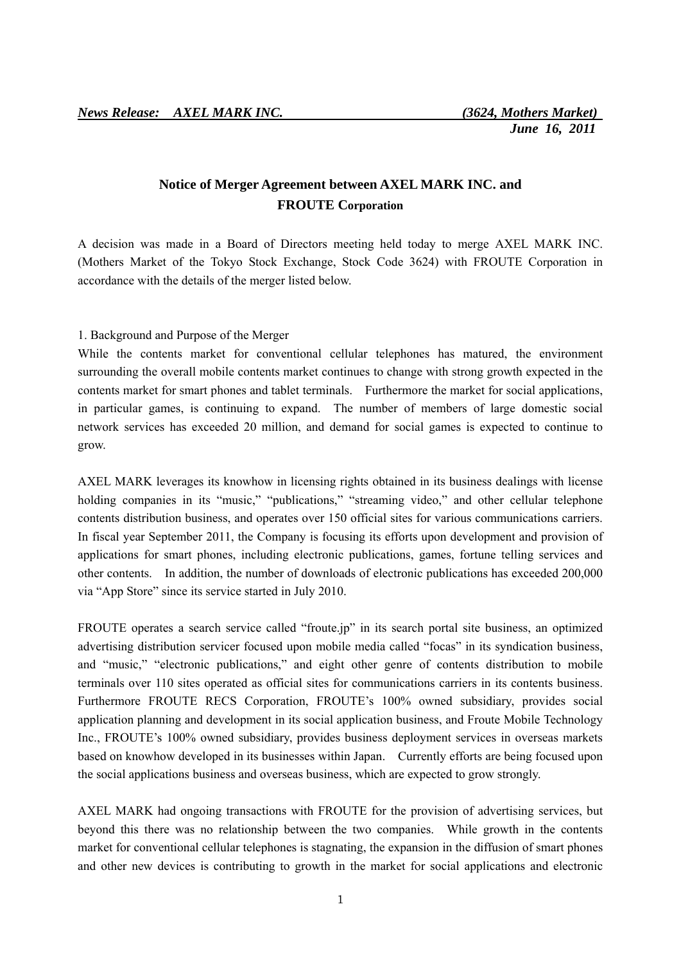# **Notice of Merger Agreement between AXEL MARK INC. and FROUTE Corporation**

A decision was made in a Board of Directors meeting held today to merge AXEL MARK INC. (Mothers Market of the Tokyo Stock Exchange, Stock Code 3624) with FROUTE Corporation in accordance with the details of the merger listed below.

#### 1. Background and Purpose of the Merger

While the contents market for conventional cellular telephones has matured, the environment surrounding the overall mobile contents market continues to change with strong growth expected in the contents market for smart phones and tablet terminals. Furthermore the market for social applications, in particular games, is continuing to expand. The number of members of large domestic social network services has exceeded 20 million, and demand for social games is expected to continue to grow.

AXEL MARK leverages its knowhow in licensing rights obtained in its business dealings with license holding companies in its "music," "publications," "streaming video," and other cellular telephone contents distribution business, and operates over 150 official sites for various communications carriers. In fiscal year September 2011, the Company is focusing its efforts upon development and provision of applications for smart phones, including electronic publications, games, fortune telling services and other contents. In addition, the number of downloads of electronic publications has exceeded 200,000 via "App Store" since its service started in July 2010.

FROUTE operates a search service called "froute.jp" in its search portal site business, an optimized advertising distribution servicer focused upon mobile media called "focas" in its syndication business, and "music," "electronic publications," and eight other genre of contents distribution to mobile terminals over 110 sites operated as official sites for communications carriers in its contents business. Furthermore FROUTE RECS Corporation, FROUTE's 100% owned subsidiary, provides social application planning and development in its social application business, and Froute Mobile Technology Inc., FROUTE's 100% owned subsidiary, provides business deployment services in overseas markets based on knowhow developed in its businesses within Japan. Currently efforts are being focused upon the social applications business and overseas business, which are expected to grow strongly.

AXEL MARK had ongoing transactions with FROUTE for the provision of advertising services, but beyond this there was no relationship between the two companies. While growth in the contents market for conventional cellular telephones is stagnating, the expansion in the diffusion of smart phones and other new devices is contributing to growth in the market for social applications and electronic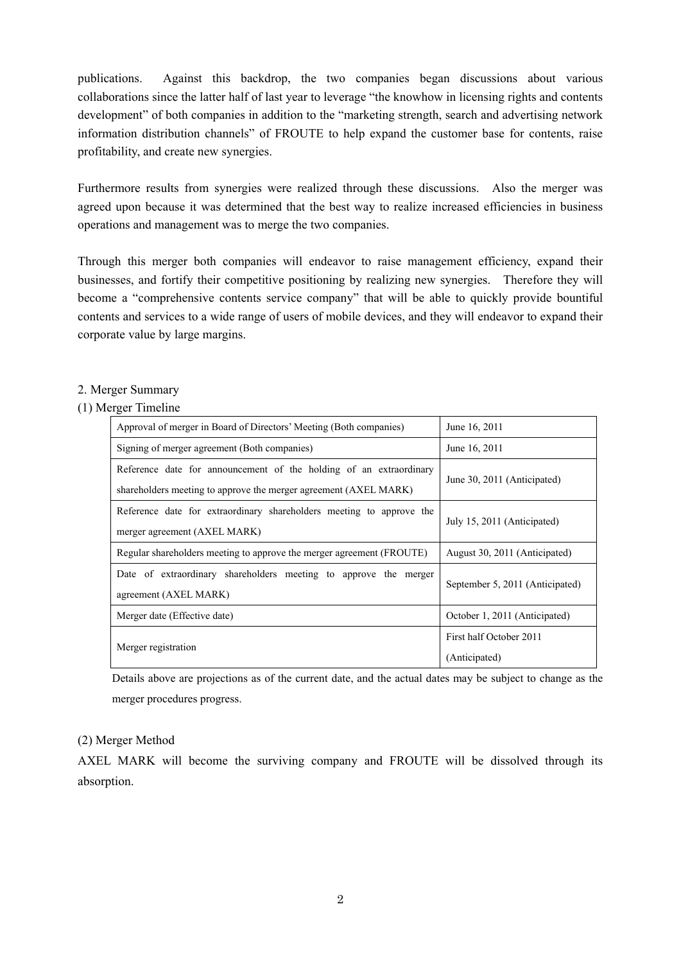publications. Against this backdrop, the two companies began discussions about various collaborations since the latter half of last year to leverage "the knowhow in licensing rights and contents development" of both companies in addition to the "marketing strength, search and advertising network information distribution channels" of FROUTE to help expand the customer base for contents, raise profitability, and create new synergies.

Furthermore results from synergies were realized through these discussions. Also the merger was agreed upon because it was determined that the best way to realize increased efficiencies in business operations and management was to merge the two companies.

Through this merger both companies will endeavor to raise management efficiency, expand their businesses, and fortify their competitive positioning by realizing new synergies. Therefore they will become a "comprehensive contents service company" that will be able to quickly provide bountiful contents and services to a wide range of users of mobile devices, and they will endeavor to expand their corporate value by large margins.

### 2. Merger Summary

#### (1) Merger Timeline

| Approval of merger in Board of Directors' Meeting (Both companies)                                                                     | June 16, 2011                            |  |
|----------------------------------------------------------------------------------------------------------------------------------------|------------------------------------------|--|
| Signing of merger agreement (Both companies)                                                                                           | June 16, 2011                            |  |
| Reference date for announcement of the holding of an extraordinary<br>shareholders meeting to approve the merger agreement (AXEL MARK) | June 30, 2011 (Anticipated)              |  |
| Reference date for extraordinary shareholders meeting to approve the<br>merger agreement (AXEL MARK)                                   | July 15, 2011 (Anticipated)              |  |
| Regular shareholders meeting to approve the merger agreement (FROUTE)                                                                  | August 30, 2011 (Anticipated)            |  |
| Date of extraordinary shareholders meeting to approve the merger<br>agreement (AXEL MARK)                                              | September 5, 2011 (Anticipated)          |  |
| Merger date (Effective date)                                                                                                           | October 1, 2011 (Anticipated)            |  |
| Merger registration                                                                                                                    | First half October 2011<br>(Anticipated) |  |

Details above are projections as of the current date, and the actual dates may be subject to change as the merger procedures progress.

### (2) Merger Method

AXEL MARK will become the surviving company and FROUTE will be dissolved through its absorption.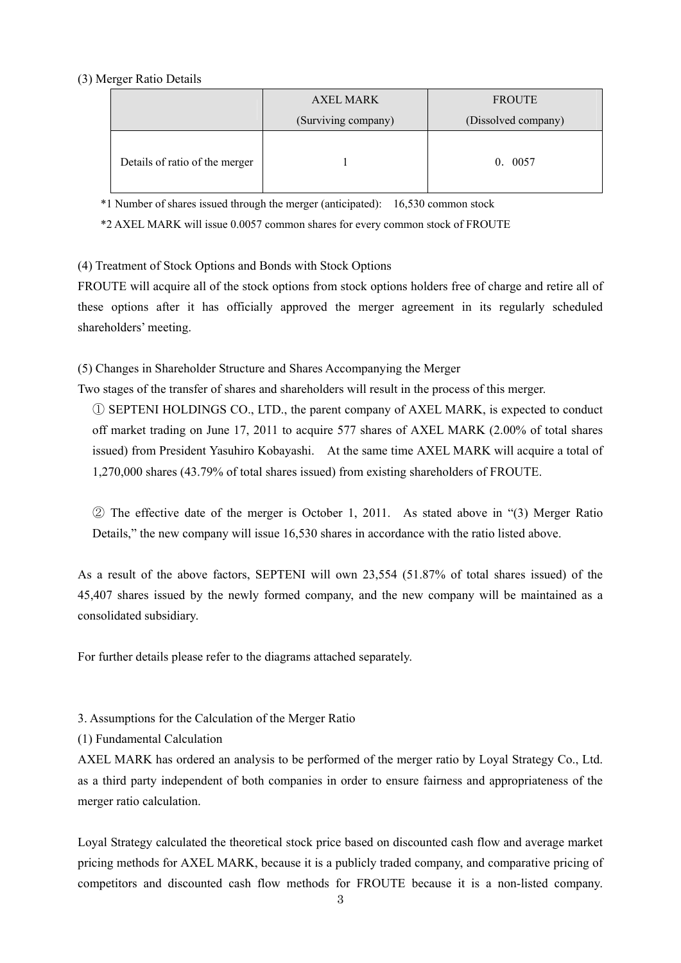#### (3) Merger Ratio Details

|                                | <b>AXEL MARK</b>    | <b>FROUTE</b>       |  |
|--------------------------------|---------------------|---------------------|--|
|                                | (Surviving company) | (Dissolved company) |  |
| Details of ratio of the merger |                     | 0.0057              |  |

\*1 Number of shares issued through the merger (anticipated): 16,530 common stock

\*2 AXEL MARK will issue 0.0057 common shares for every common stock of FROUTE

(4) Treatment of Stock Options and Bonds with Stock Options

FROUTE will acquire all of the stock options from stock options holders free of charge and retire all of these options after it has officially approved the merger agreement in its regularly scheduled shareholders' meeting.

(5) Changes in Shareholder Structure and Shares Accompanying the Merger

Two stages of the transfer of shares and shareholders will result in the process of this merger.

① SEPTENI HOLDINGS CO., LTD., the parent company of AXEL MARK, is expected to conduct off market trading on June 17, 2011 to acquire 577 shares of AXEL MARK (2.00% of total shares issued) from President Yasuhiro Kobayashi. At the same time AXEL MARK will acquire a total of 1,270,000 shares (43.79% of total shares issued) from existing shareholders of FROUTE.

② The effective date of the merger is October 1, 2011. As stated above in "(3) Merger Ratio Details," the new company will issue 16,530 shares in accordance with the ratio listed above.

As a result of the above factors, SEPTENI will own 23,554 (51.87% of total shares issued) of the 45,407 shares issued by the newly formed company, and the new company will be maintained as a consolidated subsidiary.

For further details please refer to the diagrams attached separately.

3. Assumptions for the Calculation of the Merger Ratio

(1) Fundamental Calculation

AXEL MARK has ordered an analysis to be performed of the merger ratio by Loyal Strategy Co., Ltd. as a third party independent of both companies in order to ensure fairness and appropriateness of the merger ratio calculation.

Loyal Strategy calculated the theoretical stock price based on discounted cash flow and average market pricing methods for AXEL MARK, because it is a publicly traded company, and comparative pricing of competitors and discounted cash flow methods for FROUTE because it is a non-listed company.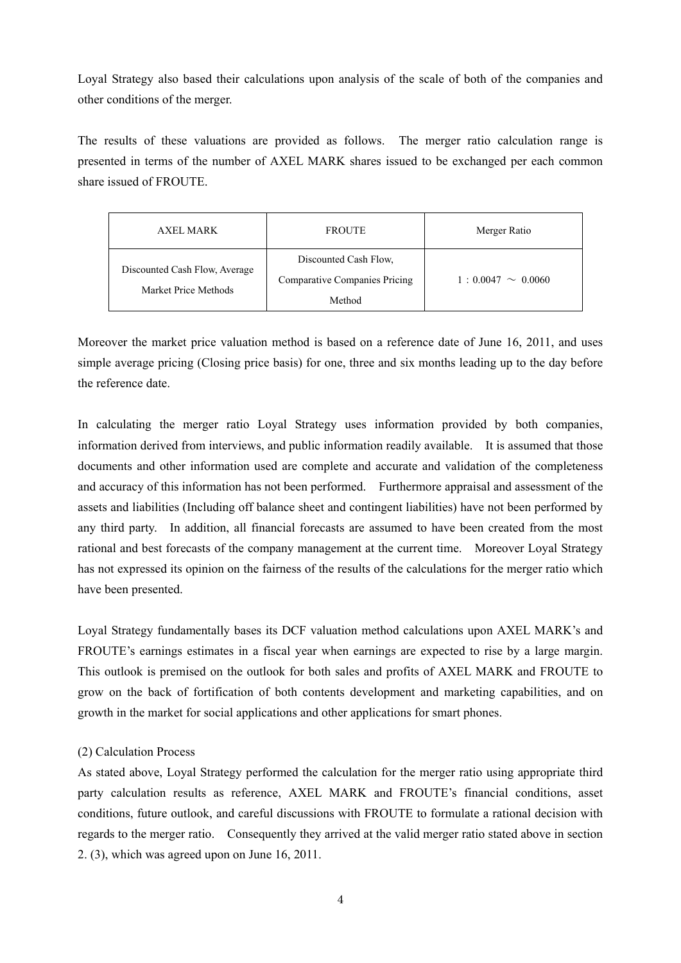Loyal Strategy also based their calculations upon analysis of the scale of both of the companies and other conditions of the merger.

The results of these valuations are provided as follows. The merger ratio calculation range is presented in terms of the number of AXEL MARK shares issued to be exchanged per each common share issued of FROUTE.

| AXEL MARK                                             | <b>FROUTE</b>                                                 | Merger Ratio           |
|-------------------------------------------------------|---------------------------------------------------------------|------------------------|
| Discounted Cash Flow, Average<br>Market Price Methods | Discounted Cash Flow,<br><b>Comparative Companies Pricing</b> | $1:0.0047 \sim 0.0060$ |
|                                                       | Method                                                        |                        |

Moreover the market price valuation method is based on a reference date of June 16, 2011, and uses simple average pricing (Closing price basis) for one, three and six months leading up to the day before the reference date.

In calculating the merger ratio Loyal Strategy uses information provided by both companies, information derived from interviews, and public information readily available. It is assumed that those documents and other information used are complete and accurate and validation of the completeness and accuracy of this information has not been performed. Furthermore appraisal and assessment of the assets and liabilities (Including off balance sheet and contingent liabilities) have not been performed by any third party. In addition, all financial forecasts are assumed to have been created from the most rational and best forecasts of the company management at the current time. Moreover Loyal Strategy has not expressed its opinion on the fairness of the results of the calculations for the merger ratio which have been presented.

Loyal Strategy fundamentally bases its DCF valuation method calculations upon AXEL MARK's and FROUTE's earnings estimates in a fiscal year when earnings are expected to rise by a large margin. This outlook is premised on the outlook for both sales and profits of AXEL MARK and FROUTE to grow on the back of fortification of both contents development and marketing capabilities, and on growth in the market for social applications and other applications for smart phones.

### (2) Calculation Process

As stated above, Loyal Strategy performed the calculation for the merger ratio using appropriate third party calculation results as reference, AXEL MARK and FROUTE's financial conditions, asset conditions, future outlook, and careful discussions with FROUTE to formulate a rational decision with regards to the merger ratio. Consequently they arrived at the valid merger ratio stated above in section 2. (3), which was agreed upon on June 16, 2011.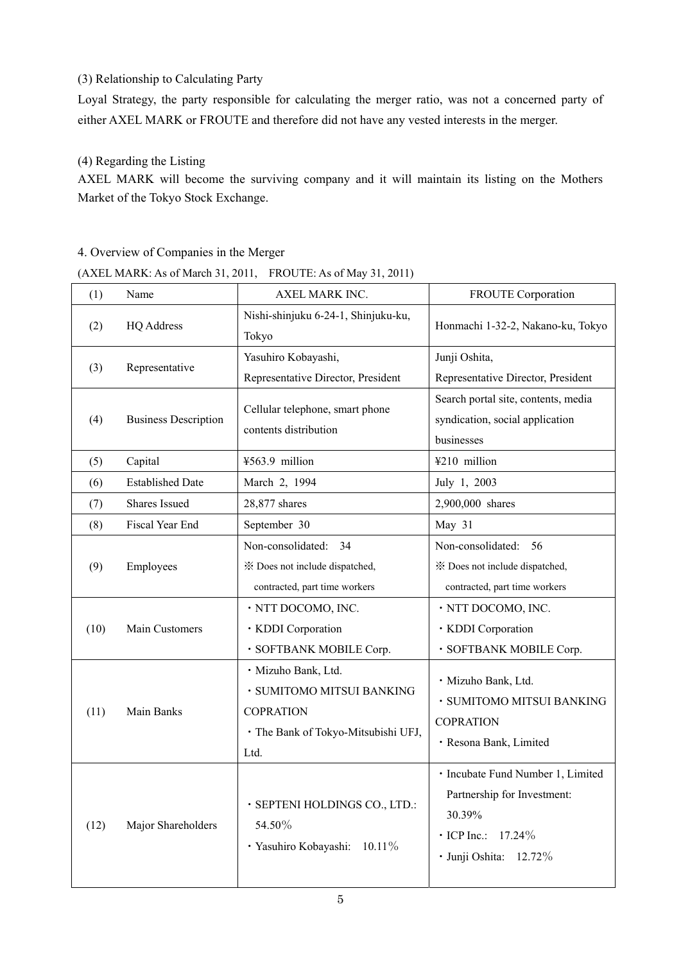### (3) Relationship to Calculating Party

Loyal Strategy, the party responsible for calculating the merger ratio, was not a concerned party of either AXEL MARK or FROUTE and therefore did not have any vested interests in the merger.

### (4) Regarding the Listing

AXEL MARK will become the surviving company and it will maintain its listing on the Mothers Market of the Tokyo Stock Exchange.

### 4. Overview of Companies in the Merger

(AXEL MARK: As of March 31, 2011, FROUTE: As of May 31, 2011)

| (1)  | Name                        | AXEL MARK INC.                                                                                                      | <b>FROUTE</b> Corporation                                                                                                           |  |  |
|------|-----------------------------|---------------------------------------------------------------------------------------------------------------------|-------------------------------------------------------------------------------------------------------------------------------------|--|--|
| (2)  | <b>HQ Address</b>           | Nishi-shinjuku 6-24-1, Shinjuku-ku,<br>Tokyo                                                                        | Honmachi 1-32-2, Nakano-ku, Tokyo                                                                                                   |  |  |
| (3)  | Representative              | Yasuhiro Kobayashi,<br>Junji Oshita,<br>Representative Director, President<br>Representative Director, President    |                                                                                                                                     |  |  |
| (4)  | <b>Business Description</b> | Cellular telephone, smart phone<br>contents distribution                                                            | Search portal site, contents, media<br>syndication, social application<br>businesses                                                |  |  |
| (5)  | Capital                     | ¥563.9 million                                                                                                      | ¥210 million                                                                                                                        |  |  |
| (6)  | <b>Established Date</b>     | March 2, 1994                                                                                                       | July 1, 2003                                                                                                                        |  |  |
| (7)  | Shares Issued               | 28,877 shares                                                                                                       | 2,900,000 shares                                                                                                                    |  |  |
| (8)  | Fiscal Year End             | September 30                                                                                                        | May 31                                                                                                                              |  |  |
| (9)  | Employees                   | Non-consolidated:<br>34<br>* Does not include dispatched,<br>contracted, part time workers                          | Non-consolidated: 56<br>* Does not include dispatched,<br>contracted, part time workers                                             |  |  |
| (10) | Main Customers              | · NTT DOCOMO, INC.<br>· KDDI Corporation<br>· SOFTBANK MOBILE Corp.                                                 | · NTT DOCOMO, INC.<br>· KDDI Corporation<br>· SOFTBANK MOBILE Corp.                                                                 |  |  |
| (11) | Main Banks                  | · Mizuho Bank, Ltd.<br>· SUMITOMO MITSUI BANKING<br><b>COPRATION</b><br>· The Bank of Tokyo-Mitsubishi UFJ,<br>Ltd. | · Mizuho Bank, Ltd.<br>· SUMITOMO MITSUI BANKING<br><b>COPRATION</b><br>· Resona Bank, Limited                                      |  |  |
| (12) | Major Shareholders          | · SEPTENI HOLDINGS CO., LTD.:<br>54.50%<br>· Yasuhiro Kobayashi:<br>$10.11\%$                                       | · Incubate Fund Number 1, Limited<br>Partnership for Investment:<br>30.39%<br>$\cdot$ ICP Inc.:<br>17.24%<br>· Junji Oshita: 12.72% |  |  |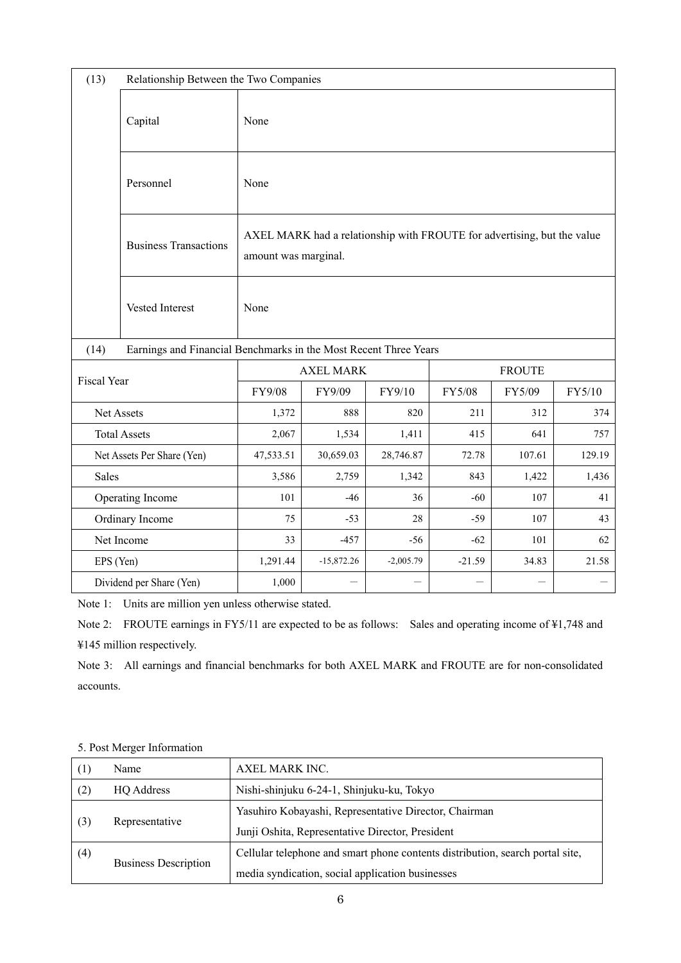| (13)                                          |                                                                  | Relationship Between the Two Companies                                                          |              |             |               |        |        |
|-----------------------------------------------|------------------------------------------------------------------|-------------------------------------------------------------------------------------------------|--------------|-------------|---------------|--------|--------|
|                                               | Capital                                                          | None                                                                                            |              |             |               |        |        |
|                                               | Personnel                                                        | None                                                                                            |              |             |               |        |        |
|                                               | <b>Business Transactions</b>                                     | AXEL MARK had a relationship with FROUTE for advertising, but the value<br>amount was marginal. |              |             |               |        |        |
|                                               | Vested Interest                                                  | None                                                                                            |              |             |               |        |        |
| (14)                                          | Earnings and Financial Benchmarks in the Most Recent Three Years |                                                                                                 |              |             |               |        |        |
|                                               |                                                                  | <b>AXEL MARK</b>                                                                                |              |             | <b>FROUTE</b> |        |        |
| Fiscal Year                                   |                                                                  | FY9/08                                                                                          | FY9/09       | FY9/10      | FY5/08        | FY5/09 | FY5/10 |
| Net Assets                                    |                                                                  | 1,372                                                                                           | 888          | 820         | 211           | 312    | 374    |
|                                               | <b>Total Assets</b>                                              | 2,067<br>1,534<br>415<br>641<br>1,411                                                           |              | 757         |               |        |        |
|                                               | Net Assets Per Share (Yen)                                       | 47,533.51                                                                                       | 30,659.03    | 28,746.87   | 72.78         | 107.61 | 129.19 |
| <b>Sales</b>                                  |                                                                  | 3,586                                                                                           | 2,759        | 1,342       | 843           | 1,422  | 1,436  |
| Operating Income                              |                                                                  | 101                                                                                             | $-46$        | 36          | $-60$         | 107    | 41     |
| Ordinary Income<br>28<br>75<br>$-53$<br>$-59$ |                                                                  | 107                                                                                             | 43           |             |               |        |        |
| Net Income                                    |                                                                  | 33                                                                                              | $-457$       | $-56$       | $-62$         | 101    | 62     |
| EPS (Yen)                                     |                                                                  | 1,291.44                                                                                        | $-15,872.26$ | $-2,005.79$ | $-21.59$      | 34.83  | 21.58  |
|                                               | Dividend per Share (Yen)                                         | 1,000                                                                                           |              |             |               |        |        |

Note 1: Units are million yen unless otherwise stated.

Note 2: FROUTE earnings in FY5/11 are expected to be as follows: Sales and operating income of ¥1,748 and ¥145 million respectively.

Note 3: All earnings and financial benchmarks for both AXEL MARK and FROUTE are for non-consolidated accounts.

| (1)                         | Name              | AXEL MARK INC.                                                                |  |
|-----------------------------|-------------------|-------------------------------------------------------------------------------|--|
| (2)                         | <b>HO</b> Address | Nishi-shinjuku 6-24-1, Shinjuku-ku, Tokyo                                     |  |
| (3)<br>Representative       |                   | Yasuhiro Kobayashi, Representative Director, Chairman                         |  |
|                             |                   | Junji Oshita, Representative Director, President                              |  |
| (4)                         |                   | Cellular telephone and smart phone contents distribution, search portal site, |  |
| <b>Business Description</b> |                   | media syndication, social application businesses                              |  |

5. Post Merger Information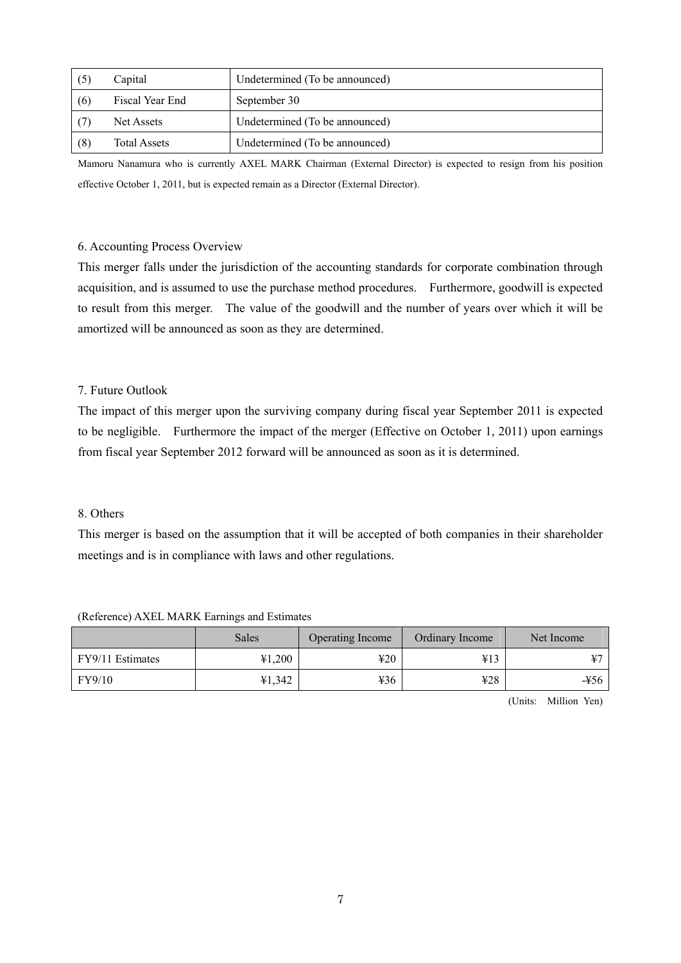| (5) | Capital             | Undetermined (To be announced) |  |
|-----|---------------------|--------------------------------|--|
| (6) | Fiscal Year End     | September 30                   |  |
|     | Net Assets          | Undetermined (To be announced) |  |
| (8) | <b>Total Assets</b> | Undetermined (To be announced) |  |

Mamoru Nanamura who is currently AXEL MARK Chairman (External Director) is expected to resign from his position effective October 1, 2011, but is expected remain as a Director (External Director).

#### 6. Accounting Process Overview

This merger falls under the jurisdiction of the accounting standards for corporate combination through acquisition, and is assumed to use the purchase method procedures. Furthermore, goodwill is expected to result from this merger. The value of the goodwill and the number of years over which it will be amortized will be announced as soon as they are determined.

### 7. Future Outlook

The impact of this merger upon the surviving company during fiscal year September 2011 is expected to be negligible. Furthermore the impact of the merger (Effective on October 1, 2011) upon earnings from fiscal year September 2012 forward will be announced as soon as it is determined.

#### 8. Others

This merger is based on the assumption that it will be accepted of both companies in their shareholder meetings and is in compliance with laws and other regulations.

|                  | Sales  | Operating Income | Ordinary Income | Net Income |
|------------------|--------|------------------|-----------------|------------|
| FY9/11 Estimates | 41,200 | 420              | ¥13             |            |
| FY9/10           | 41,342 | ¥36              | 428             | -¥56       |

(Reference) AXEL MARK Earnings and Estimates

(Units: Million Yen)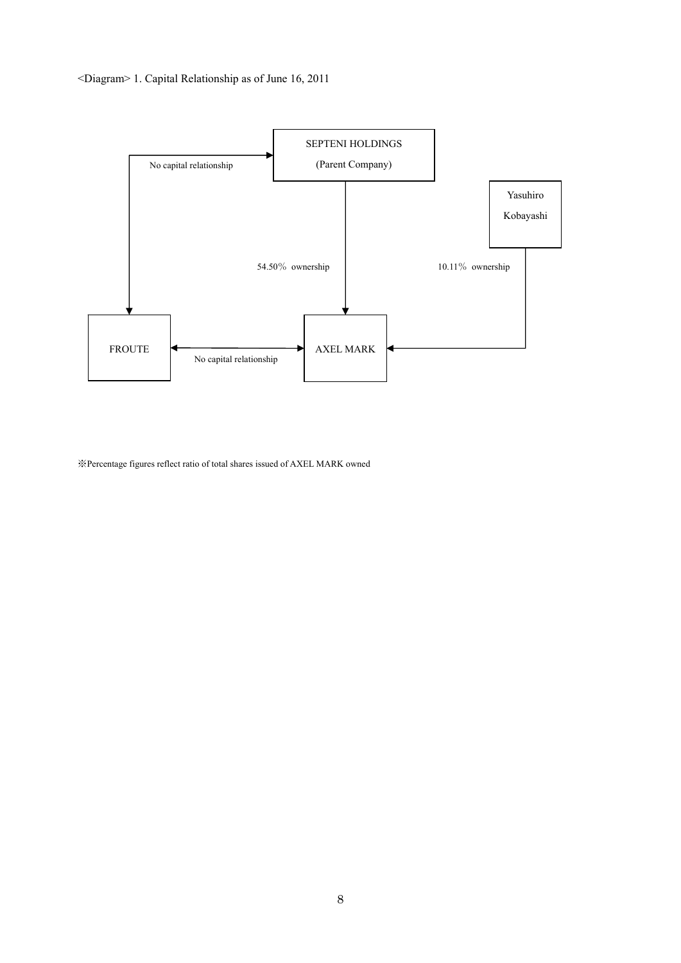



※Percentage figures reflect ratio of total shares issued of AXEL MARK owned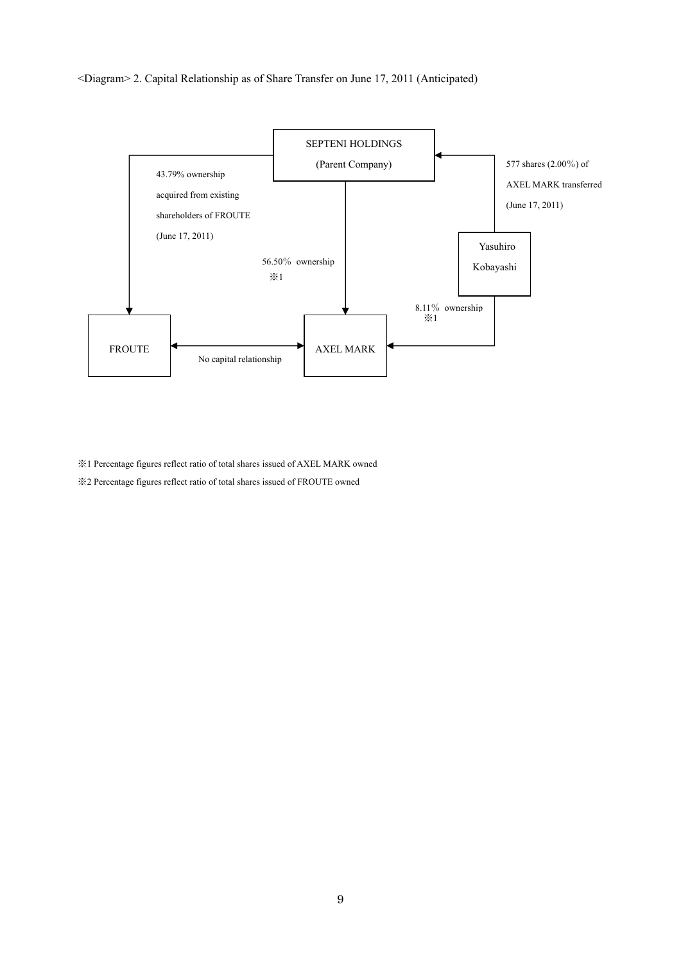#### <Diagram> 2. Capital Relationship as of Share Transfer on June 17, 2011 (Anticipated)



※1 Percentage figures reflect ratio of total shares issued of AXEL MARK owned

※2 Percentage figures reflect ratio of total shares issued of FROUTE owned